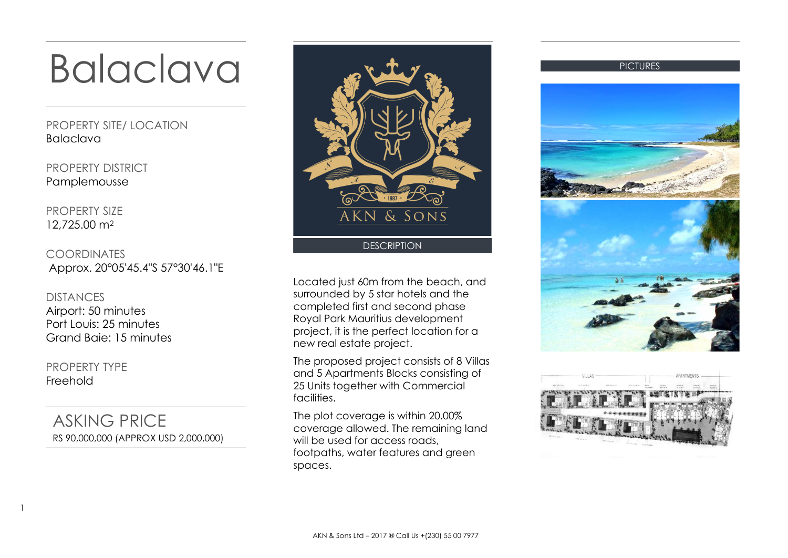## Balaclava

PROPERTY SITE/ LOCATION Balaclava

PROPERTY DISTRICT Pamplemousse

PROPERTY SIZE 12,725.00 m<sup>2</sup>

COORDINATES Approx. 20°05'45.4"S 57°30'46.1"E

DISTANCES Airport: 50 minutes Port Louis: 25 minutes Grand Baie: 15 minutes

PROPERTY TYPE Freehold

1

ASKING PRICE RS 90,000,000 (APPROX USD 2,000,000)



Located just 60m from the beach, and surrounded by 5 star hotels and the completed first and second phase Royal Park Mauritius development project, it is the perfect location for a new real estate project.

The proposed project consists of 8 Villas and 5 Apartments Blocks consisting of 25 Units together with Commercial facilities.

The plot coverage is within 20.00% coverage allowed. The remaining land will be used for access roads, footpaths, water features and green spaces.



**PICTURES** 

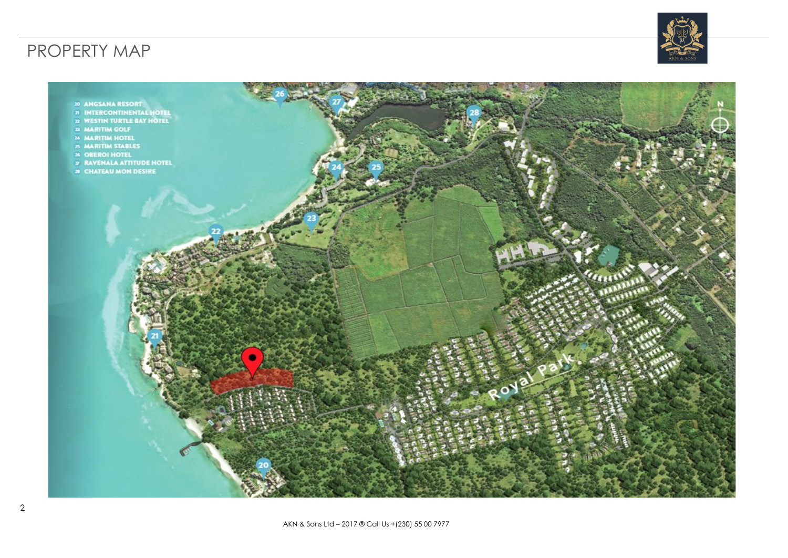## PROPERTY MAP